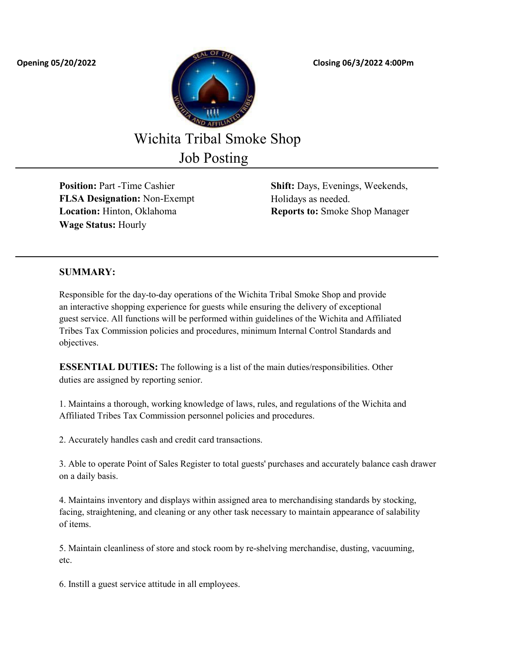

Wichita Tribal Smoke Shop

Job Posting

**FLSA Designation:** Non-Exempt Holidays as needed. **Wage Status:** Hourly

**Position:** Part -Time Cashier **Shift:** Days, Evenings, Weekends, **Location:** Hinton, Oklahoma **Reports to:** Smoke Shop Manager

## **SUMMARY:**

Responsible for the day-to-day operations of the Wichita Tribal Smoke Shop and provide an interactive shopping experience for guests while ensuring the delivery of exceptional guest service. All functions will be performed within guidelines of the Wichita and Affiliated Tribes Tax Commission policies and procedures, minimum Internal Control Standards and objectives.

**ESSENTIAL DUTIES:** The following is a list of the main duties/responsibilities. Other duties are assigned by reporting senior.

1. Maintains a thorough, working knowledge of laws, rules, and regulations of the Wichita and Affiliated Tribes Tax Commission personnel policies and procedures.

2. Accurately handles cash and credit card transactions.

3. Able to operate Point of Sales Register to total guests' purchases and accurately balance cash drawer on a daily basis.

4. Maintains inventory and displays within assigned area to merchandising standards by stocking, facing, straightening, and cleaning or any other task necessary to maintain appearance of salability of items.

5. Maintain cleanliness of store and stock room by re-shelving merchandise, dusting, vacuuming, etc.

6. Instill a guest service attitude in all employees.